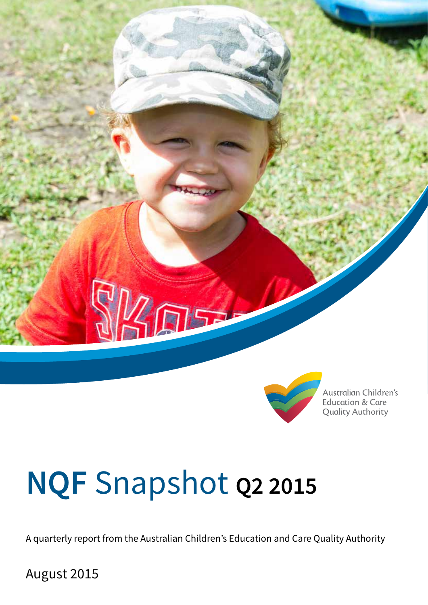



Australian Children's **Education & Care Quality Authority** 

# **NQF** Snapshot **Q2 2015**

A quarterly report from the Australian Children's Education and Care Quality Authority

August 2015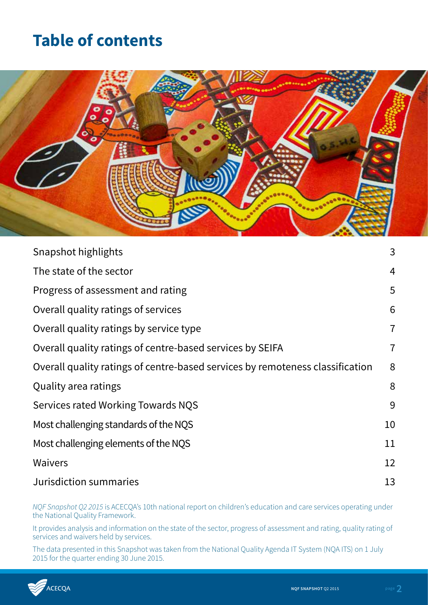# **Table of contents**



| Snapshot highlights                                                           | 3              |
|-------------------------------------------------------------------------------|----------------|
| The state of the sector                                                       | 4              |
| Progress of assessment and rating                                             | 5              |
| Overall quality ratings of services                                           | 6              |
| Overall quality ratings by service type                                       | $\overline{7}$ |
| Overall quality ratings of centre-based services by SEIFA                     | $\overline{7}$ |
| Overall quality ratings of centre-based services by remoteness classification | 8              |
| Quality area ratings                                                          | 8              |
| Services rated Working Towards NQS                                            | 9              |
| Most challenging standards of the NQS                                         | 10             |
| Most challenging elements of the NQS                                          | 11             |
| <b>Waivers</b>                                                                | 12             |
| Jurisdiction summaries                                                        | 13             |

*NQF Snapshot Q2 2015* is ACECQA's 10th national report on children's education and care services operating under the National Quality Framework.

It provides analysis and information on the state of the sector, progress of assessment and rating, quality rating of services and waivers held by services.

The data presented in this Snapshot was taken from the National Quality Agenda IT System (NQA ITS) on 1 July 2015 for the quarter ending 30 June 2015.

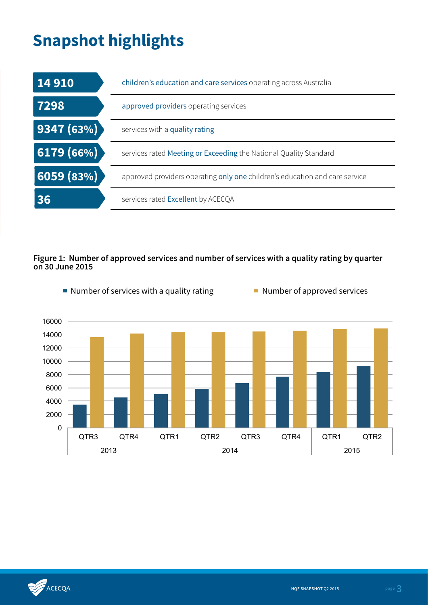# **Snapshot highlights**

| 14 9 10                         | children's education and care services operating across Australia           |
|---------------------------------|-----------------------------------------------------------------------------|
| 7298                            | approved providers operating services                                       |
| 9347(63%)                       | services with a quality rating                                              |
| 6179(66%)                       | services rated Meeting or Exceeding the National Quality Standard           |
| $\vert 6059 \vert (83\%) \vert$ | approved providers operating only one children's education and care service |
| 36                              | services rated Excellent by ACECQA                                          |

### **Figure 1: Number of approved services and number of services with a quality rating by quarter on 30 June 2015**



Number of services with a quality rating  $\blacksquare$  Number of approved services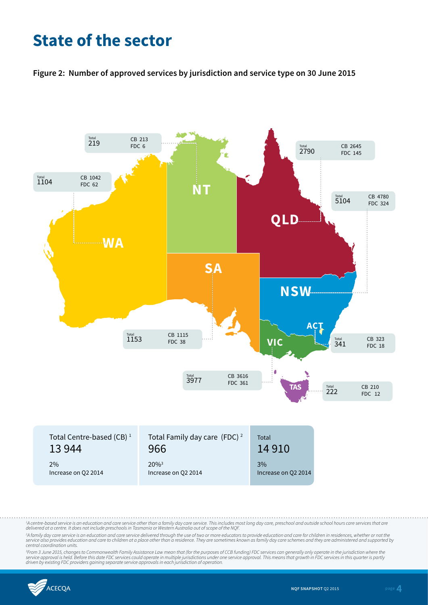# **State of the sector**

**Figure 2: Number of approved services by jurisdiction and service type on 30 June 2015**



<sup>1</sup>A centre-based service is an education and care service other than a family day care service. This includes most long day care, preschool and outside school hours care services that are *delivered at a centre. It does not include preschools in Tasmania or Western Australia out of scope of the NQF.*

<sup>2</sup>A family day care service is an education and care service delivered through the use of two or more educators to provide education and care for children in residences, whether or not the<br>service also provides education *central coordination units.*

<sup>3</sup>From 3 June 2015, changes to Commonwealth Family Assistance Law mean that (for the purposes of CCB funding) FDC services can generally only operate in the jurisdiction where the<br>service approval is held. Before this dat

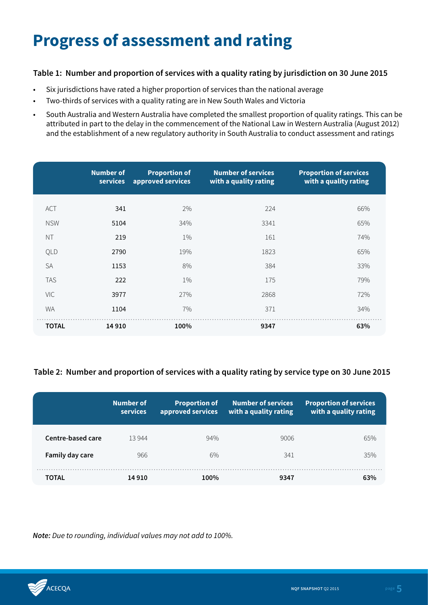# **Progress of assessment and rating**

### **Table 1: Number and proportion of services with a quality rating by jurisdiction on 30 June 2015**

- Six jurisdictions have rated a higher proportion of services than the national average
- Two-thirds of services with a quality rating are in New South Wales and Victoria
- South Australia and Western Australia have completed the smallest proportion of quality ratings. This can be attributed in part to the delay in the commencement of the National Law in Western Australia (August 2012) and the establishment of a new regulatory authority in South Australia to conduct assessment and ratings

|              | <b>Number of</b><br>services | <b>Proportion of</b><br>approved services | <b>Number of services</b><br>with a quality rating | <b>Proportion of services</b><br>with a quality rating |
|--------------|------------------------------|-------------------------------------------|----------------------------------------------------|--------------------------------------------------------|
| <b>ACT</b>   | 341                          | 2%                                        | 224                                                | 66%                                                    |
| <b>NSW</b>   | 5104                         | 34%                                       | 3341                                               | 65%                                                    |
| <b>NT</b>    | 219                          | $1\%$                                     | 161                                                | 74%                                                    |
| QLD          | 2790                         | 19%                                       | 1823                                               | 65%                                                    |
| <b>SA</b>    | 1153                         | 8%                                        | 384                                                | 33%                                                    |
| <b>TAS</b>   | 222                          | $1\%$                                     | 175                                                | 79%                                                    |
| VIC          | 3977                         | 27%                                       | 2868                                               | 72%                                                    |
| <b>WA</b>    | 1104                         | 7%                                        | 371                                                | 34%                                                    |
| <b>TOTAL</b> | 14 9 10                      | 100%                                      | 9347                                               | 63%                                                    |

### **Table 2: Number and proportion of services with a quality rating by service type on 30 June 2015**

|                   | Number of<br>services | <b>Proportion of</b><br>approved services | <b>Number of services</b><br>with a quality rating | <b>Proportion of services</b><br>with a quality rating |
|-------------------|-----------------------|-------------------------------------------|----------------------------------------------------|--------------------------------------------------------|
| Centre-based care | 13944                 | 94%                                       | 9006                                               | 65%                                                    |
| Family day care   | 966                   | 6%                                        | 341                                                | 35%                                                    |
| TOTAL             | 14 910                | 100%                                      | 9347                                               | 63%                                                    |

*Note: Due to rounding, individual values may not add to 100%.*

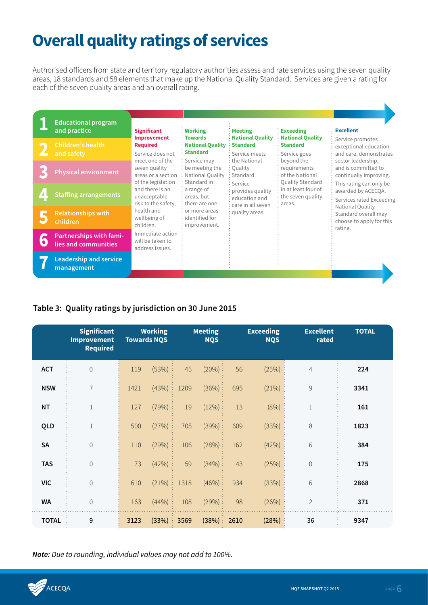# **Overall quality ratings of services**

Authorised officers from state and territory regulatory authorities assess and rate services using the seven quality areas, 18 standards and 58 elements that make up the National Quality Standard. Services are given a rating for each of the seven quality areas and an overall rating.

| <b>Educational program</b><br>and practice      | <b>Significant</b>                                        | <b>Working</b>                                               | <b>Meeting</b>                                              | <b>Exceeding</b>                                           | <b>Excellent</b>                                                    |                |                                                                  |                                                             |                                                                   |                                                                                                |
|-------------------------------------------------|-----------------------------------------------------------|--------------------------------------------------------------|-------------------------------------------------------------|------------------------------------------------------------|---------------------------------------------------------------------|----------------|------------------------------------------------------------------|-------------------------------------------------------------|-------------------------------------------------------------------|------------------------------------------------------------------------------------------------|
| <b>Children's health</b><br>and safety          | <b>Improvement</b><br><b>Required</b><br>Service does not | <b>Towards</b><br><b>National Quality</b><br><b>Standard</b> | <b>National Quality</b><br><b>Standard</b><br>Service meets | <b>National Quality</b><br><b>Standard</b><br>Service goes | Service promotes<br>exceptional education<br>and care, demonstrates |                |                                                                  |                                                             |                                                                   |                                                                                                |
| <b>Physical environment</b>                     | meet one of the<br>seven quality<br>areas or a section    |                                                              |                                                             |                                                            | of the legislation                                                  |                | Service may<br>be meeting the<br>National Quality<br>Standard in | the National<br>Quality<br>Standard.<br>Service             | beyond the<br>requirements<br>of the National<br>Quality Standard | sector leadership,<br>and is committed to<br>continually improving.<br>This rating can only be |
| <b>Staffing arrangements</b>                    | and there is an<br>unacceptable<br>risk to the safety,    | a range of<br>areas, but<br>there are one                    | provides quality<br>education and<br>care in all seven      | in at least four of<br>the seven quality<br>areas.         | awarded by ACECQA.<br>Services rated Exceeding<br>National Quality  |                |                                                                  |                                                             |                                                                   |                                                                                                |
| <b>Relationships with</b><br>children           | health and<br>wellbeing of<br>children.                   |                                                              |                                                             |                                                            | or more areas<br>identified for<br>improvement.                     | quality areas. |                                                                  | Standard overall may<br>choose to apply for this<br>rating. |                                                                   |                                                                                                |
| Partnerships with fami-<br>lies and communities | Immediate action<br>will be taken to<br>address issues.   |                                                              |                                                             |                                                            |                                                                     |                |                                                                  |                                                             |                                                                   |                                                                                                |
| <b>Leadership and service</b><br>management     |                                                           |                                                              |                                                             |                                                            |                                                                     |                |                                                                  |                                                             |                                                                   |                                                                                                |

### **Table 3: Quality ratings by jurisdiction on 30 June 2015**

|              | <b>Significant</b><br><b>Improvement</b><br><b>Required</b> | <b>Working</b><br><b>Towards NQS</b> |       | <b>Meeting</b><br><b>NQS</b> |        |      | <b>Exceeding</b><br><b>NQS</b> | <b>Excellent</b><br>rated | <b>TOTAL</b> |
|--------------|-------------------------------------------------------------|--------------------------------------|-------|------------------------------|--------|------|--------------------------------|---------------------------|--------------|
| <b>ACT</b>   | $\mathbf 0$                                                 | 119                                  | (53%) | 45                           | (20%)  | 56   | (25%)                          | $\overline{4}$            | 224          |
| <b>NSW</b>   | $\overline{7}$                                              | 1421                                 | (43%) | 1209                         | (36%)  | 695  | (21%)                          | $\mathcal G$              | 3341         |
| <b>NT</b>    | $\mathbf{1}$                                                | 127                                  | (79%) | 19                           | (12%)  | 13   | (8% )                          | $\mathbf 1$               | 161          |
| QLD          | $\,1$                                                       | 500                                  | (27%) | 705                          | (39%)  | 609  | (33%)                          | $\,8\,$                   | 1823         |
| <b>SA</b>    | $\mathbf 0$                                                 | 110                                  | (29%) | 106                          | (28%): | 162  | (42%)                          | 6                         | 384          |
| <b>TAS</b>   | $\mathbf 0$                                                 | 73                                   | (42%) | 59                           | (34%)  | 43   | (25%)                          | $\mathbf 0$               | 175          |
| <b>VIC</b>   | $\mathbf 0$                                                 | 610                                  | (21%) | 1318                         | (46%)  | 934  | (33%)                          | 6                         | 2868         |
| <b>WA</b>    | $\mathbf 0$                                                 | 163                                  | (44%) | 108                          | (29%)  | 98   | (26%)                          | $\overline{2}$            | 371          |
| <b>TOTAL</b> | 9                                                           | 3123                                 | (33%) | 3569                         | (38%)  | 2610 | (28%)                          | 36                        | 9347         |

*Note: Due to rounding, individual values may not add to 100%.*

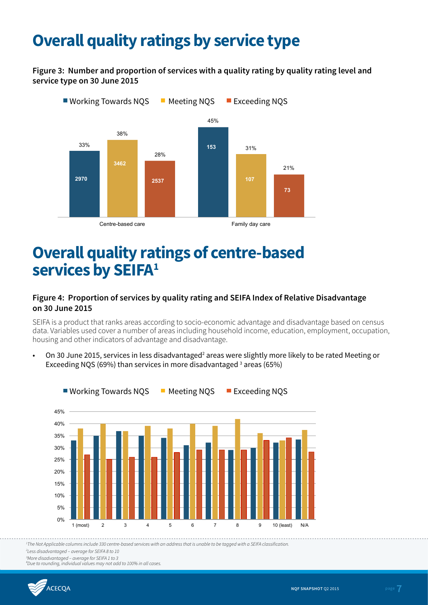# **Overall quality ratings by service type**

**Figure 3: Number and proportion of services with a quality rating by quality rating level and service type on 30 June 2015**



# **Overall quality ratings of centre-based**  services by **SEIFA<sup>1</sup>**

### **Figure 4: Proportion of services by quality rating and SEIFA Index of Relative Disadvantage on 30 June 2015**

SEIFA is a product that ranks areas according to socio-economic advantage and disadvantage based on census data. Variables used cover a number of areas including household income, education, employment, occupation, housing and other indicators of advantage and disadvantage.

•  $\,$  On 30 June 2015, services in less disadvantaged $^2$  areas were slightly more likely to be rated Meeting or Exceeding NQS (69%) than services in more disadvantaged <sup>3</sup> areas (65%)



*1 The Not Applicable columns include 330 centre-based services with an address that is unable to be tagged with a SEIFA classification.*  working to the top in the top in the top in the top in the top in the top in the top in the top in the top in

*2 Less disadvantaged – average for SEIFA 8 to 10*

*3 More disadvantaged – average for SEIFA 1 to 3*

*# Due to rounding, individual values may not add to 100% in all cases.*

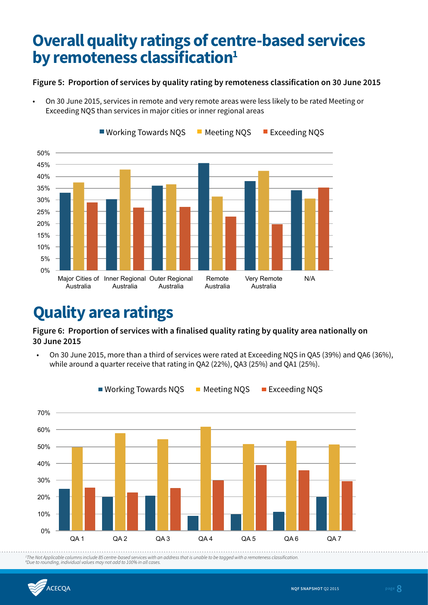# **Overall quality ratings of centre-based services by remoteness classification**<sup>1</sup>

### **Figure 5: Proportion of services by quality rating by remoteness classification on 30 June 2015**

• On 30 June 2015, services in remote and very remote areas were less likely to be rated Meeting or Exceeding NQS than services in major cities or inner regional areas



# **Quality area ratings**

**Figure 6: Proportion of services with a finalised quality rating by quality area nationally on 30 June 2015**

• On 30 June 2015, more than a third of services were rated at Exceeding NQS in QA5 (39%) and QA6 (36%), while around a quarter receive that rating in QA2 (22%), QA3 (25%) and QA1 (25%).



Working Towards NQS Meeting NQS Exceeding NQS *1 The Not Applicable columns include 85 centre-based services with an address that is unable to be tagged with a remoteness classification. # Due to rounding, individual values may not add to 100% in all cases.*

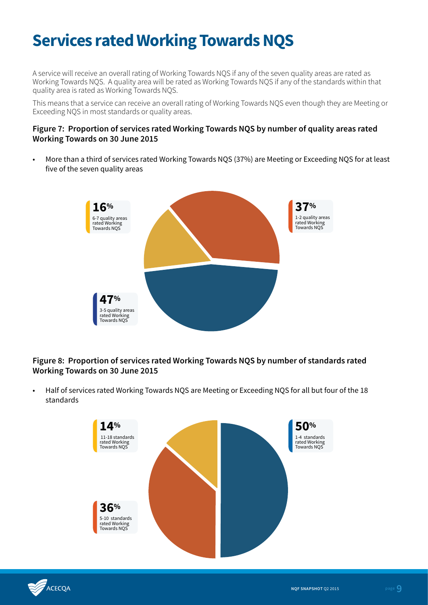# **Services rated Working Towards NQS**

A service will receive an overall rating of Working Towards NQS if any of the seven quality areas are rated as Working Towards NQS. A quality area will be rated as Working Towards NQS if any of the standards within that quality area is rated as Working Towards NQS.

This means that a service can receive an overall rating of Working Towards NQS even though they are Meeting or Exceeding NQS in most standards or quality areas.

#### **Figure 7: Proportion of services rated Working Towards NQS by number of quality areas rated Working Towards on 30 June 2015**

• More than a third of services rated Working Towards NQS (37%) are Meeting or Exceeding NQS for at least five of the seven quality areas



### **Figure 8: Proportion of services rated Working Towards NQS by number of standards rated Working Towards on 30 June 2015**

• Half of services rated Working Towards NQS are Meeting or Exceeding NQS for all but four of the 18 standards



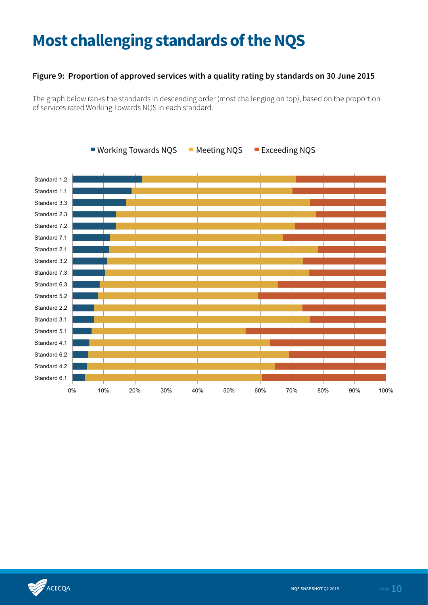# **Most challenging standards of the NQS**

### **Figure 9: Proportion of approved services with a quality rating by standards on 30 June 2015**

The graph below ranks the standards in descending order (most challenging on top), based on the proportion of services rated Working Towards NQS in each standard.



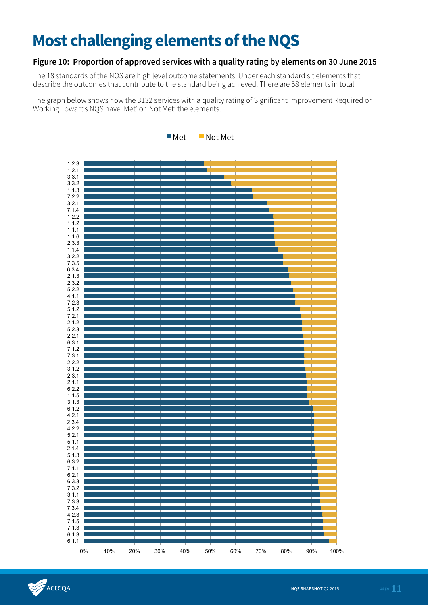# **Most challenging elements of the NQS**

### **Figure 10: Proportion of approved services with a quality rating by elements on 30 June 2015**

The 18 standards of the NQS are high level outcome statements. Under each standard sit elements that describe the outcomes that contribute to the standard being achieved. There are 58 elements in total.

The graph below shows how the 3132 services with a quality rating of Significant Improvement Required or Working Towards NQS have 'Met' or 'Not Met' the elements.





ACECQA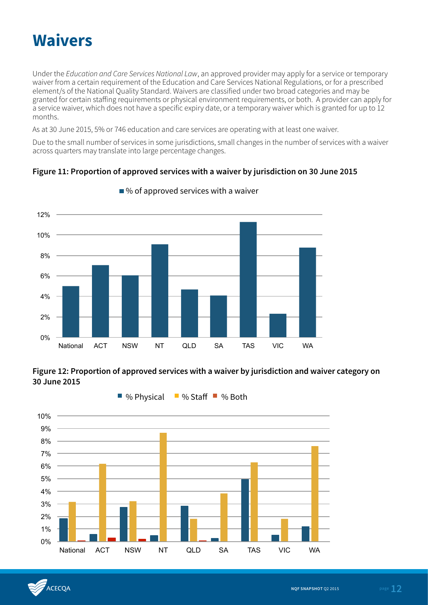# **Waivers**

Under the *Education and Care Services National Law*, an approved provider may apply for a service or temporary waiver from a certain requirement of the Education and Care Services National Regulations, or for a prescribed element/s of the National Quality Standard. Waivers are classified under two broad categories and may be granted for certain staffing requirements or physical environment requirements, or both. A provider can apply for a service waiver, which does not have a specific expiry date, or a temporary waiver which is granted for up to 12 months.

As at 30 June 2015, 5% or 746 education and care services are operating with at least one waiver.

Due to the small number of services in some jurisdictions, small changes in the number of services with a waiver across quarters may translate into large percentage changes.

### **Figure 11: Proportion of approved services with a waiver by jurisdiction on 30 June 2015**



 $\blacksquare$ % of approved services with a waiver

**Figure 12: Proportion of approved services with a waiver by jurisdiction and waiver category on 30 June 2015** 



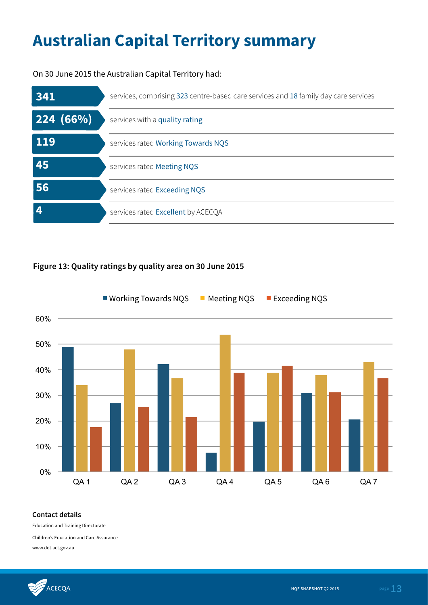# **Australian Capital Territory summary**

On 30 June 2015 the Australian Capital Territory had:



### **Figure 13: Quality ratings by quality area on 30 June 2015**



#### **Contact details**

Education and Training Directorate

Children's Education and Care Assurance

www.det.act.gov.au

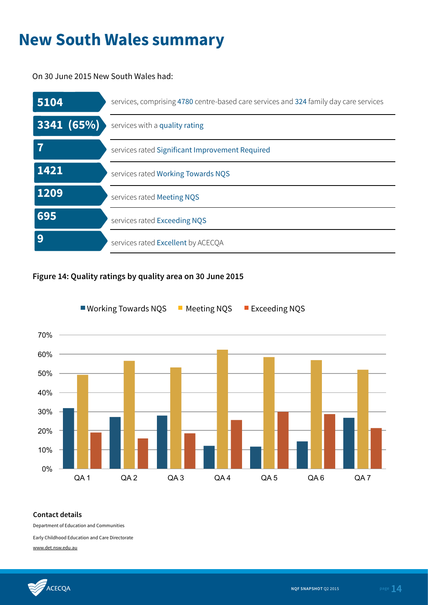# **New South Wales summary**

On 30 June 2015 New South Wales had:

| 5104       | services, comprising 4780 centre-based care services and 324 family day care services |
|------------|---------------------------------------------------------------------------------------|
| 3341 (65%) | services with a quality rating                                                        |
|            | services rated Significant Improvement Required                                       |
| 1421       | services rated Working Towards NQS                                                    |
| 1209       | services rated Meeting NQS                                                            |
| 695        | services rated Exceeding NQS                                                          |
| 9          | services rated Excellent by ACECQA                                                    |

### **Figure 14: Quality ratings by quality area on 30 June 2015**



#### **Contact details**

Department of Education and Communities

Early Childhood Education and Care Directorate

www.det.nsw.edu.au

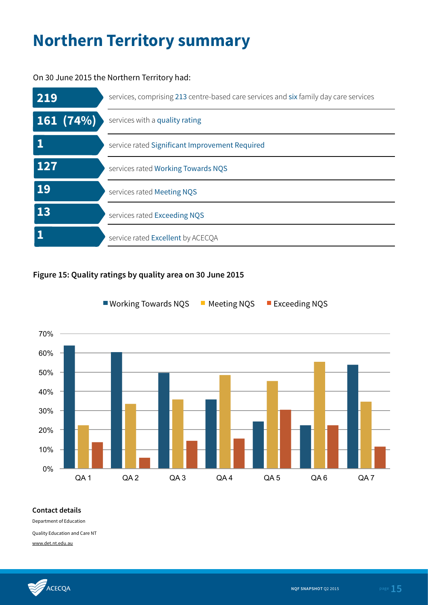# **Northern Territory summary**

### On 30 June 2015 the Northern Territory had:



### **Figure 15: Quality ratings by quality area on 30 June 2015**



■ Working Towards NQS Meeting NQS MExceeding NQS

#### **Contact details**

Department of Education

Quality Education and Care NT

www.det.nt.edu.au

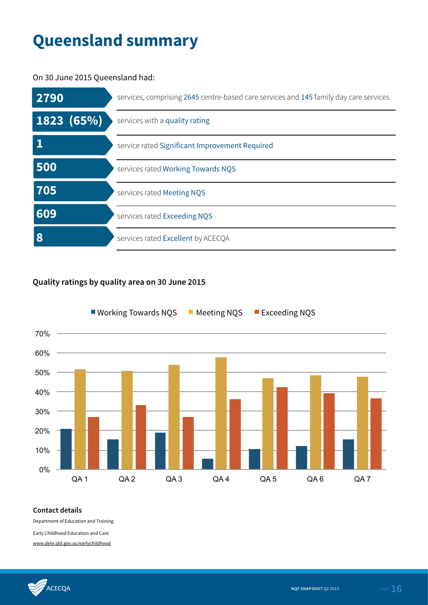# **Queensland summary**

On 30 June 2015 Queensland had:



### **Quality ratings by quality area on 30 June 2015**



#### **Contact details**

Department of Education and Training

Early Childhood Education and Care

www.dete.qld.gov.au/earlychildhood

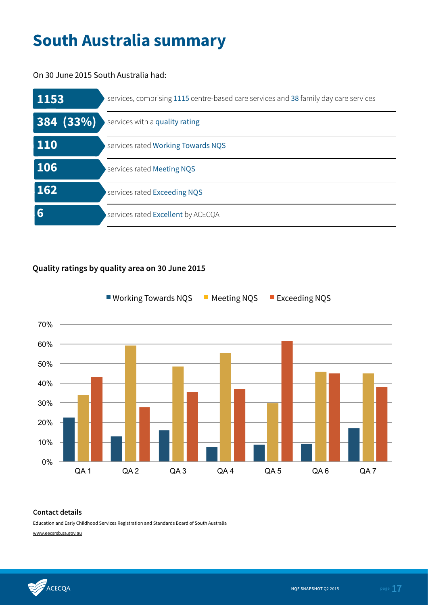# **South Australia summary**

On 30 June 2015 South Australia had:

| 1153       | services, comprising 1115 centre-based care services and 38 family day care services |
|------------|--------------------------------------------------------------------------------------|
| 384 (33%)  | services with a quality rating                                                       |
| <b>110</b> | services rated Working Towards NQS                                                   |
| 106        | services rated Meeting NQS                                                           |
| 162        | services rated Exceeding NQS                                                         |
| 6          | services rated Excellent by ACECQA                                                   |

### **Quality ratings by quality area on 30 June 2015**



## Working Towards NQS  $\blacksquare$  Meeting NQS  $\blacksquare$  Exceeding NQS

#### **Contact details**

Education and Early Childhood Services Registration and Standards Board of South Australia

www.eecsrsb.sa.gov.au

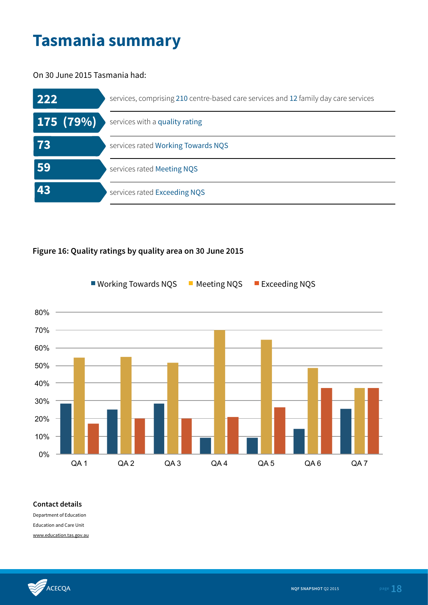# **Tasmania summary**

On 30 June 2015 Tasmania had:

| 222       | services, comprising 210 centre-based care services and 12 family day care services |
|-----------|-------------------------------------------------------------------------------------|
| 175 (79%) | services with a quality rating                                                      |
| 73        | services rated Working Towards NQS                                                  |
| 59        | services rated Meeting NQS                                                          |
| 43        | services rated Exceeding NQS                                                        |

### **Figure 16: Quality ratings by quality area on 30 June 2015**



#### **Contact details**

Department of Education Education and Care Unit www.education.tas.gov.au

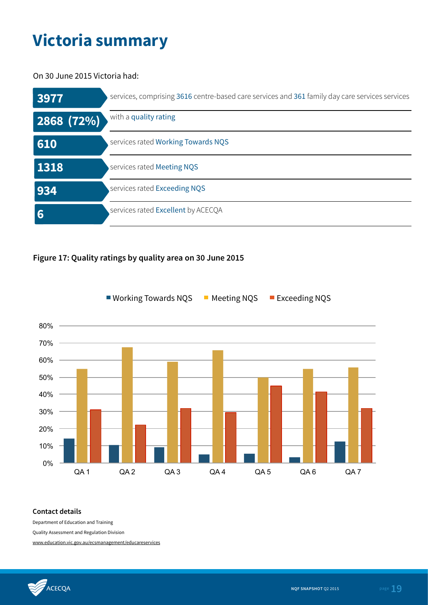# **Victoria summary**

On 30 June 2015 Victoria had:

| 3977      | services, comprising 3616 centre-based care services and 361 family day care services services |
|-----------|------------------------------------------------------------------------------------------------|
| 2868(72%) | with a quality rating                                                                          |
| 610       | services rated Working Towards NQS                                                             |
| 1318      | services rated Meeting NQS                                                                     |
| 934       | services rated Exceeding NQS                                                                   |
| 6         | services rated Excellent by ACECQA                                                             |

### **Figure 17: Quality ratings by quality area on 30 June 2015**



Working Towards NQS  $\blacksquare$  Meeting NQS  $\blacksquare$  Exceeding NQS

### **Contact details**

Department of Education and Training

Quality Assessment and Regulation Division

www.education.vic.gov.au/ecsmanagement/educareservices

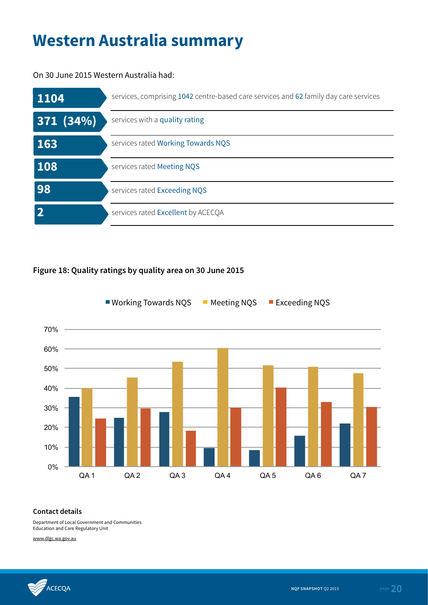# **Western Australia summary**

On 30 June 2015 Western Australia had:

| 1104     | services, comprising 1042 centre-based care services and 62 family day care services |
|----------|--------------------------------------------------------------------------------------|
| 371(34%) | services with a quality rating                                                       |
| 163      | services rated Working Towards NQS                                                   |
| 108      | services rated Meeting NQS                                                           |
| 98       | services rated Exceeding NQS                                                         |
|          | services rated Excellent by ACECQA                                                   |

### **Figure 18: Quality ratings by quality area on 30 June 2015**



■ Working Towards NQS ■ Meeting NQS ■ Exceeding NQS

### **Contact details**

Department of Local Government and Communities Education and Care Regulatory Unit

www.dlgc.wa.gov.au

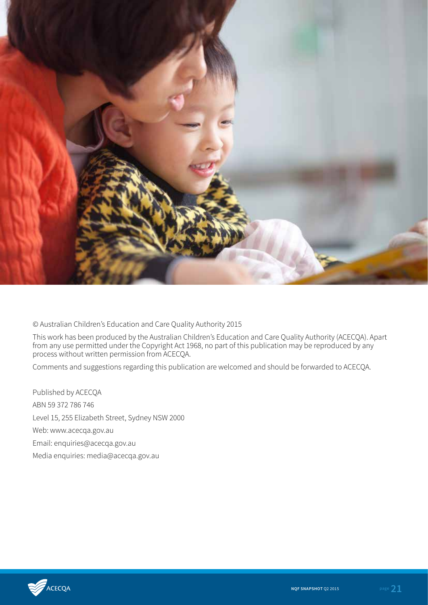

© Australian Children's Education and Care Quality Authority 2015

This work has been produced by the Australian Children's Education and Care Quality Authority (ACECQA). Apart from any use permitted under the Copyright Act 1968, no part of this publication may be reproduced by any process without written permission from ACECQA.

Comments and suggestions regarding this publication are welcomed and should be forwarded to ACECQA.

Published by ACECQA ABN 59 372 786 746 Level 15, 255 Elizabeth Street, Sydney NSW 2000 Web: www.acecqa.gov.au Email: enquiries@acecqa.gov.au Media enquiries: media@acecqa.gov.au